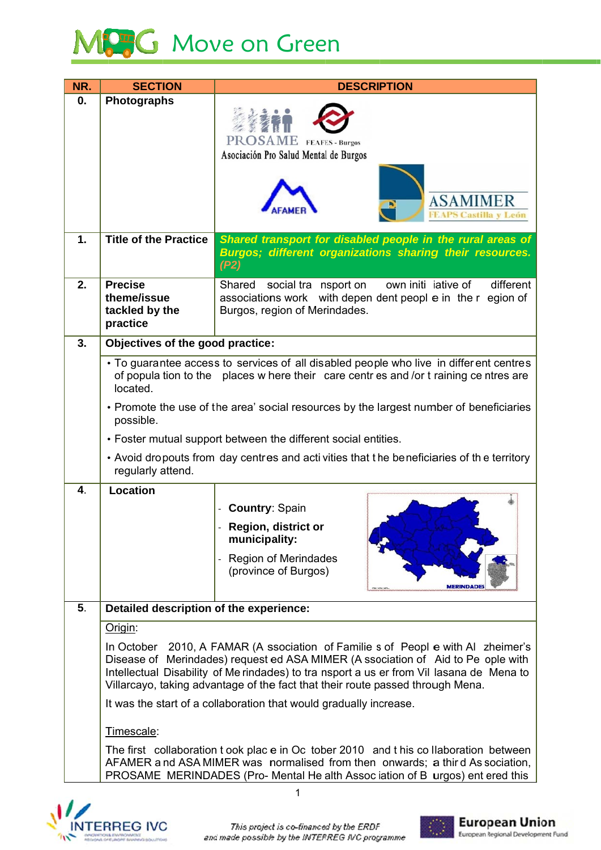## MCC Move on Green

| NR. | <b>SECTION</b>                                                                                                                                                                                                                                                                                                                                     | <b>DESCRIPTION</b>                                                                                                                                                                                                                                     |  |
|-----|----------------------------------------------------------------------------------------------------------------------------------------------------------------------------------------------------------------------------------------------------------------------------------------------------------------------------------------------------|--------------------------------------------------------------------------------------------------------------------------------------------------------------------------------------------------------------------------------------------------------|--|
| 0.  | <b>Photographs</b>                                                                                                                                                                                                                                                                                                                                 | <b>SAME</b><br><b>FEAFES - Burgos</b><br>Asociación Pro Salud Mental de Burgos                                                                                                                                                                         |  |
|     |                                                                                                                                                                                                                                                                                                                                                    | <b>ASAMIMER</b><br><b>FEAPS Castilla y León</b>                                                                                                                                                                                                        |  |
| 1.  | <b>Title of the Practice</b>                                                                                                                                                                                                                                                                                                                       | Shared transport for disabled people in the rural areas of<br>Burgos; different organizations sharing their resources.<br>(P2)                                                                                                                         |  |
| 2.  | <b>Precise</b><br>theme/issue<br>tackled by the<br>practice                                                                                                                                                                                                                                                                                        | own initi iative of<br>different<br>Shared social tra nsport on<br>associations work with depen dent peopl e in the r egion of<br>Burgos, region of Merindades.                                                                                        |  |
| 3.  | Objectives of the good practice:                                                                                                                                                                                                                                                                                                                   |                                                                                                                                                                                                                                                        |  |
|     | located.                                                                                                                                                                                                                                                                                                                                           | • To guarantee access to services of all disabled people who live in different centres<br>of popula tion to the places w here their care centres and /or t raining ce ntres are                                                                        |  |
|     | possible.                                                                                                                                                                                                                                                                                                                                          | • Promote the use of the area' social resources by the largest number of beneficiaries                                                                                                                                                                 |  |
|     |                                                                                                                                                                                                                                                                                                                                                    | • Foster mutual support between the different social entities.                                                                                                                                                                                         |  |
|     | regularly attend.                                                                                                                                                                                                                                                                                                                                  | • Avoid dropouts from day centres and acti vities that the beneficiaries of the territory                                                                                                                                                              |  |
| 4.  | <b>Location</b>                                                                                                                                                                                                                                                                                                                                    |                                                                                                                                                                                                                                                        |  |
|     |                                                                                                                                                                                                                                                                                                                                                    | <b>Country: Spain</b>                                                                                                                                                                                                                                  |  |
|     |                                                                                                                                                                                                                                                                                                                                                    | <b>Region, district or</b><br>municipality:                                                                                                                                                                                                            |  |
|     |                                                                                                                                                                                                                                                                                                                                                    | <b>Region of Merindades</b><br>(province of Burgos)<br><b>MERINDADE</b>                                                                                                                                                                                |  |
| 5.  | Detailed description of the experience:                                                                                                                                                                                                                                                                                                            |                                                                                                                                                                                                                                                        |  |
|     | Origin:                                                                                                                                                                                                                                                                                                                                            |                                                                                                                                                                                                                                                        |  |
|     | In October 2010, A FAMAR (A ssociation of Familie s of Peopl e with Al zheimer's<br>Disease of Merindades) request ed ASA MIMER (A ssociation of Aid to Pe ople with<br>Intellectual Disability of Me rindades) to tra nsport a us er from Vil lasana de Mena to<br>Villarcayo, taking advantage of the fact that their route passed through Mena. |                                                                                                                                                                                                                                                        |  |
|     |                                                                                                                                                                                                                                                                                                                                                    | It was the start of a collaboration that would gradually increase.                                                                                                                                                                                     |  |
|     | Timescale:                                                                                                                                                                                                                                                                                                                                         |                                                                                                                                                                                                                                                        |  |
|     |                                                                                                                                                                                                                                                                                                                                                    | The first collaboration t ook place in Oc tober 2010 and t his collaboration between<br>AFAMER and ASA MIMER was normalised from then onwards; a third As sociation,<br>PROSAME MERINDADES (Pro- Mental He alth Assoc iation of B urgos) ent ered this |  |





 $\overline{1}$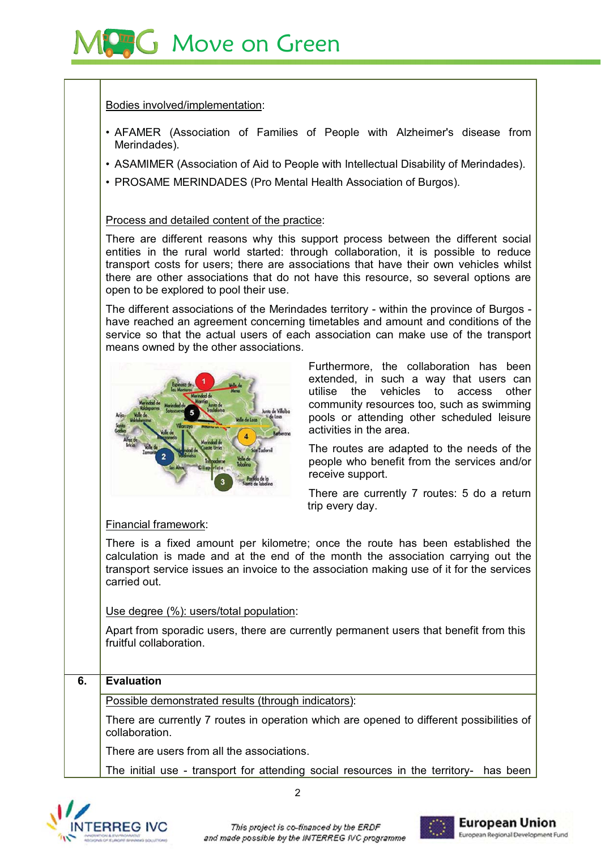

Bodies involved/implementation:

- AFAMER (Association of Families of People with Alzheimer's disease from Merindades).
- ASAMIMER (Association of Aid to People with Intellectual Disability of Merindades).
- PROSAME MERINDADES (Pro Mental Health Association of Burgos).

Process and detailed content of the practice:

There are different reasons why this support process between the different social entities in the rural world started: through collaboration, it is possible to reduce transport costs for users; there are associations that have their own vehicles whilst there are other associations that do not have this resource, so several options are open to be explored to pool their use.

The different associations of the Merindades territory - within the province of Burgos have reached an agreement concerning timetables and amount and conditions of the service so that the actual users of each association can make use of the transport means owned by the other associations.



Furthermore, the collaboration has been extended, in such a way that users can utilise the vehicles to access other community resources too, such as swimming pools or attending other scheduled leisure activities in the area.

The routes are adapted to the needs of the people who benefit from the services and/or receive support.

There are currently 7 routes: 5 do a return trip every day.

Financial framework:

There is a fixed amount per kilometre; once the route has been established the calculation is made and at the end of the month the association carrying out the transport service issues an invoice to the association making use of it for the services carried out

Use degree (%): users/total population:

Apart from sporadic users, there are currently permanent users that benefit from this fruitful collaboration.

## **Evaluation**  $\overline{6}$ . Possible demonstrated results (through indicators): There are currently 7 routes in operation which are opened to different possibilities of collaboration. There are users from all the associations. The initial use - transport for attending social resources in the territory- has been